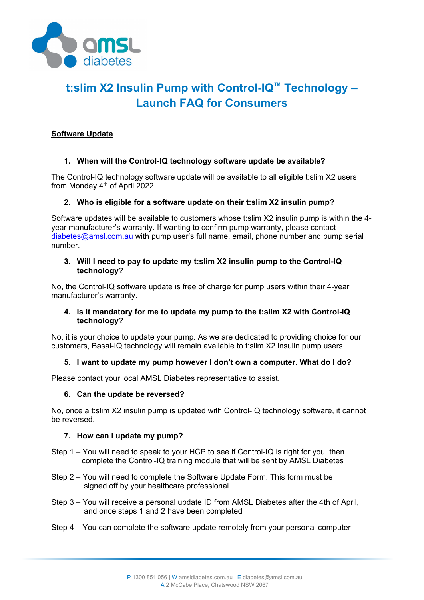

# **t:slim X2 Insulin Pump with Control-IQ™ Technology – Launch FAQ for Consumers**

# **Software Update**

# **1. When will the Control-IQ technology software update be available?**

The Control-IQ technology software update will be available to all eligible t:slim X2 users from Monday  $4<sup>th</sup>$  of April 2022.

## **2. Who is eligible for a software update on their t:slim X2 insulin pump?**

Software updates will be available to customers whose t:slim X2 insulin pump is within the 4 year manufacturer's warranty. If wanting to confirm pump warranty, please contact [diabetes@amsl.com.au](mailto:diabetes@amsl.com.au) with pump user's full name, email, phone number and pump serial number.

#### **3. Will I need to pay to update my t:slim X2 insulin pump to the Control-IQ technology?**

No, the Control-IQ software update is free of charge for pump users within their 4-year manufacturer's warranty.

## **4. Is it mandatory for me to update my pump to the t:slim X2 with Control-IQ technology?**

No, it is your choice to update your pump. As we are dedicated to providing choice for our customers, Basal-IQ technology will remain available to t:slim X2 insulin pump users.

## **5. I want to update my pump however I don't own a computer. What do I do?**

Please contact your local AMSL Diabetes representative to assist.

## **6. Can the update be reversed?**

No, once a t:slim X2 insulin pump is updated with Control-IQ technology software, it cannot be reversed.

## **7. How can I update my pump?**

- Step 1 You will need to speak to your HCP to see if Control-IQ is right for you, then complete the Control-IQ training module that will be sent by AMSL Diabetes
- Step 2 You will need to complete the Software Update Form. This form must be signed off by your healthcare professional
- Step 3 You will receive a personal update ID from AMSL Diabetes after the 4th of April, and once steps 1 and 2 have been completed
- Step 4 You can complete the software update remotely from your personal computer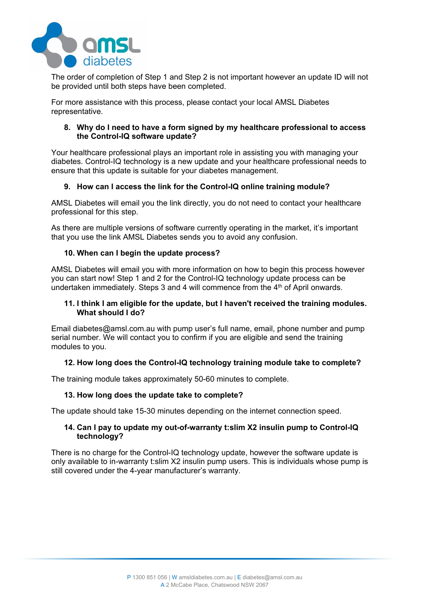

The order of completion of Step 1 and Step 2 is not important however an update ID will not be provided until both steps have been completed.

For more assistance with this process, please contact your local AMSL Diabetes representative.

#### **8. Why do I need to have a form signed by my healthcare professional to access the Control-IQ software update?**

Your healthcare professional plays an important role in assisting you with managing your diabetes. Control-IQ technology is a new update and your healthcare professional needs to ensure that this update is suitable for your diabetes management.

## **9. How can I access the link for the Control-IQ online training module?**

AMSL Diabetes will email you the link directly, you do not need to contact your healthcare professional for this step.

As there are multiple versions of software currently operating in the market, it's important that you use the link AMSL Diabetes sends you to avoid any confusion.

# **10. When can I begin the update process?**

AMSL Diabetes will email you with more information on how to begin this process however you can start now! Step 1 and 2 for the Control-IQ technology update process can be undertaken immediately. Steps 3 and 4 will commence from the 4<sup>th</sup> of April onwards.

## **11. I think I am eligible for the update, but I haven't received the training modules. What should I do?**

Email diabetes@amsl.com.au with pump user's full name, email, phone number and pump serial number. We will contact you to confirm if you are eligible and send the training modules to you.

## **12. How long does the Control-IQ technology training module take to complete?**

The training module takes approximately 50-60 minutes to complete.

## **13. How long does the update take to complete?**

The update should take 15-30 minutes depending on the internet connection speed.

## **14. Can I pay to update my out-of-warranty t:slim X2 insulin pump to Control-IQ technology?**

There is no charge for the Control-IQ technology update, however the software update is only available to in-warranty t:slim X2 insulin pump users. This is individuals whose pump is still covered under the 4-year manufacturer's warranty.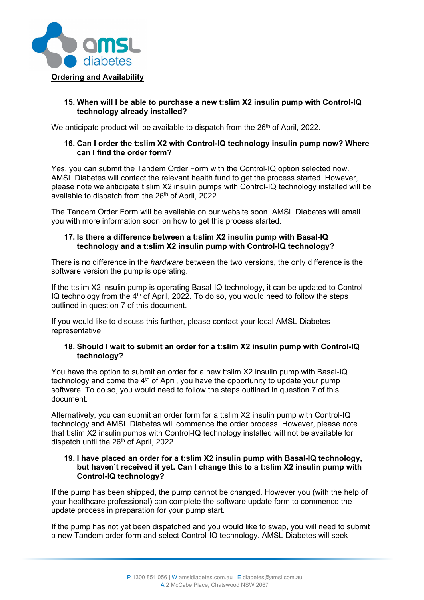

## **15. When will I be able to purchase a new t:slim X2 insulin pump with Control-IQ technology already installed?**

We anticipate product will be available to dispatch from the  $26<sup>th</sup>$  of April, 2022.

# **16. Can I order the t:slim X2 with Control-IQ technology insulin pump now? Where can I find the order form?**

Yes, you can submit the Tandem Order Form with the Control-IQ option selected now. AMSL Diabetes will contact the relevant health fund to get the process started. However, please note we anticipate t:slim X2 insulin pumps with Control-IQ technology installed will be available to dispatch from the 26<sup>th</sup> of April, 2022.

The Tandem Order Form will be available on our website soon. AMSL Diabetes will email you with more information soon on how to get this process started.

# **17. Is there a difference between a t:slim X2 insulin pump with Basal-IQ technology and a t:slim X2 insulin pump with Control-IQ technology?**

There is no difference in the *hardware* between the two versions, the only difference is the software version the pump is operating.

If the t:slim X2 insulin pump is operating Basal-IQ technology, it can be updated to Control-IQ technology from the  $4<sup>th</sup>$  of April, 2022. To do so, you would need to follow the steps outlined in question 7 of this document.

If you would like to discuss this further, please contact your local AMSL Diabetes representative.

## **18. Should I wait to submit an order for a t:slim X2 insulin pump with Control-IQ technology?**

You have the option to submit an order for a new t:slim X2 insulin pump with Basal-IQ technology and come the 4<sup>th</sup> of April, you have the opportunity to update your pump software. To do so, you would need to follow the steps outlined in question 7 of this document.

Alternatively, you can submit an order form for a t:slim X2 insulin pump with Control-IQ technology and AMSL Diabetes will commence the order process. However, please note that t:slim X2 insulin pumps with Control-IQ technology installed will not be available for dispatch until the 26<sup>th</sup> of April, 2022.

#### **19. I have placed an order for a t:slim X2 insulin pump with Basal-IQ technology, but haven't received it yet. Can I change this to a t:slim X2 insulin pump with Control-IQ technology?**

If the pump has been shipped, the pump cannot be changed. However you (with the help of your healthcare professional) can complete the software update form to commence the update process in preparation for your pump start.

If the pump has not yet been dispatched and you would like to swap, you will need to submit a new Tandem order form and select Control-IQ technology. AMSL Diabetes will seek